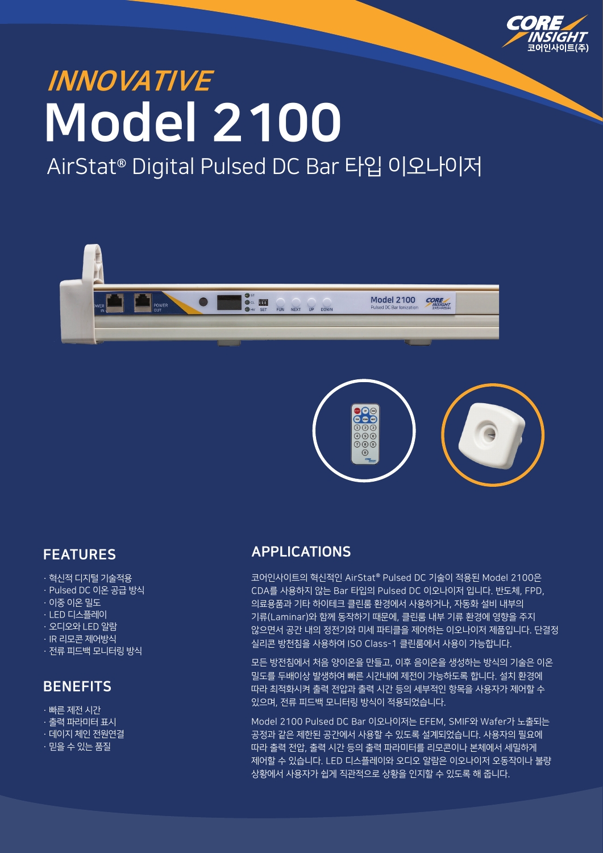

# INNOVATIVE Model 2100

# AirStat**®** Digital Pulsed DC Bar 타입 이오나이저





## FEATURES

- · 혁신적 디지털 기술적용
- · Pulsed DC 이온 공급 방식
- $\overline{\cdot}$  이온 밀도
- · LED 디스플레이
- · 오디오와 LED 알람
- · IR 리모콘 제어방식
- · 전류 피드백 모니터링 방식

## **BENEFITS**

- · 빠른 제전 시간
- · 출력 파라미터 표시
- · 데이지 체인 전원연결
- · 믿을 수 있는 품질

## APPLICATIONS

코어인사이트의 혁신적인 AirStat**®** Pulsed DC 기술이 적용된 Model 2100은 CDA를 사용하지 않는 Bar 타입의 Pulsed DC 이오나이저 입니다. 반도체, FPD, 의료용품과 기타 하이테크 클린룸 환경에서 사용하거나, 자동화 설비 내부의 기류(Laminar)와 함께 동작하기 때문에, 클린룸 내부 기류 환경에 영향을 주지 않으면서 공간 내의 정전기와 미세 파티클을 제어하는 이오나이저 제품입니다. 단결정 실리콘 방천침을 사용하여 ISO Class-1 클린룸에서 사용이 가능합니다.

모든 방전침에서 처음 양이온을 만들고, 이후 음이온을 생성하는 방식의 기술은 이온 밀도를 두배이상 발생하여 빠른 시간내에 제전이 가능하도록 합니다. 설치 환경에 따라 최적화시켜 출력 전압과 출력 시간 등의 세부적인 항목을 사용자가 제어할 수 있으며, 전류 피드백 모니터링 방식이 적용되었습니다.

Model 2100 Pulsed DC Bar 이오나이저는 EFEM, SMIF와 Wafer가 노출되는 공정과 같은 제한된 공간에서 사용할 수 있도록 설계되었습니다. 사용자의 필요에 따라 출력 전압, 출력 시간 등의 출력 파라미터를 리모콘이나 본체에서 세밀하게 제어할 수 있습니다. LED 디스플레이와 오디오 알람은 이오나이저 오동작이나 불량 상황에서 사용자가 쉽게 직관적으로 상황을 인지할 수 있도록 해 줍니다.